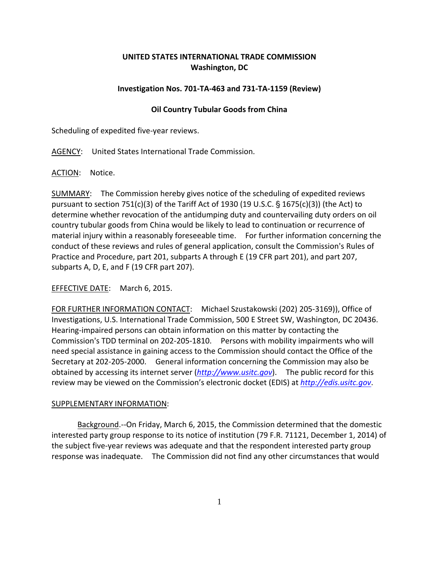## **UNITED STATES INTERNATIONAL TRADE COMMISSION Washington, DC**

## **Investigation Nos. 701‐TA‐463 and 731‐TA‐1159 (Review)**

## **Oil Country Tubular Goods from China**

Scheduling of expedited five‐year reviews.

AGENCY: United States International Trade Commission.

ACTION: Notice.

SUMMARY: The Commission hereby gives notice of the scheduling of expedited reviews pursuant to section 751(c)(3) of the Tariff Act of 1930 (19 U.S.C.  $\S$  1675(c)(3)) (the Act) to determine whether revocation of the antidumping duty and countervailing duty orders on oil country tubular goods from China would be likely to lead to continuation or recurrence of material injury within a reasonably foreseeable time. For further information concerning the conduct of these reviews and rules of general application, consult the Commission's Rules of Practice and Procedure, part 201, subparts A through E (19 CFR part 201), and part 207, subparts A, D, E, and F (19 CFR part 207).

EFFECTIVE DATE: March 6, 2015.

FOR FURTHER INFORMATION CONTACT: Michael Szustakowski (202) 205-3169)), Office of Investigations, U.S. International Trade Commission, 500 E Street SW, Washington, DC 20436. Hearing‐impaired persons can obtain information on this matter by contacting the Commission's TDD terminal on 202-205-1810. Persons with mobility impairments who will need special assistance in gaining access to the Commission should contact the Office of the Secretary at 202‐205‐2000. General information concerning the Commission may also be obtained by accessing its internet server (*http://www.usitc.gov*). The public record for this review may be viewed on the Commission's electronic docket (EDIS) at *http://edis.usitc.gov*.

## SUPPLEMENTARY INFORMATION:

Background.--On Friday, March 6, 2015, the Commission determined that the domestic interested party group response to its notice of institution (79 F.R. 71121, December 1, 2014) of the subject five‐year reviews was adequate and that the respondent interested party group response was inadequate. The Commission did not find any other circumstances that would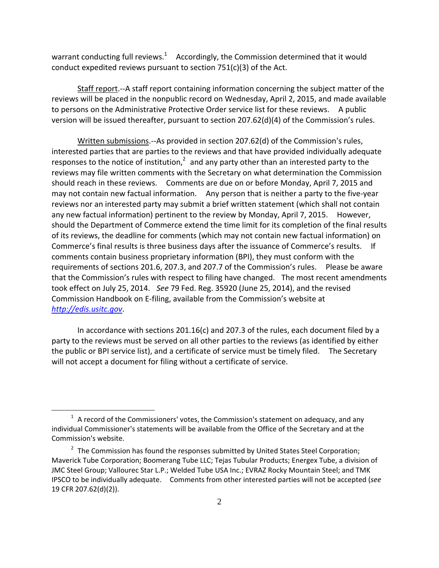warrant conducting full reviews.<sup>1</sup> Accordingly, the Commission determined that it would conduct expedited reviews pursuant to section 751(c)(3) of the Act.

Staff report.‐‐A staff report containing information concerning the subject matter of the reviews will be placed in the nonpublic record on Wednesday, April 2, 2015, and made available to persons on the Administrative Protective Order service list for these reviews. A public version will be issued thereafter, pursuant to section 207.62(d)(4) of the Commission's rules.

Written submissions.--As provided in section 207.62(d) of the Commission's rules, interested parties that are parties to the reviews and that have provided individually adequate responses to the notice of institution, $<sup>2</sup>$  and any party other than an interested party to the</sup> reviews may file written comments with the Secretary on what determination the Commission should reach in these reviews. Comments are due on or before Monday, April 7, 2015 and may not contain new factual information. Any person that is neither a party to the five-year reviews nor an interested party may submit a brief written statement (which shall not contain any new factual information) pertinent to the review by Monday, April 7, 2015. However, should the Department of Commerce extend the time limit for its completion of the final results of its reviews, the deadline for comments (which may not contain new factual information) on Commerce's final results is three business days after the issuance of Commerce's results. If comments contain business proprietary information (BPI), they must conform with the requirements of sections 201.6, 207.3, and 207.7 of the Commission's rules. Please be aware that the Commission's rules with respect to filing have changed. The most recent amendments took effect on July 25, 2014. *See* 79 Fed. Reg. 35920 (June 25, 2014), and the revised Commission Handbook on E‐filing, available from the Commission's website at *http://edis.usitc.gov*.

In accordance with sections 201.16(c) and 207.3 of the rules, each document filed by a party to the reviews must be served on all other parties to the reviews (as identified by either the public or BPI service list), and a certificate of service must be timely filed. The Secretary will not accept a document for filing without a certificate of service.

 $\overline{a}$ 

 $1$  A record of the Commissioners' votes, the Commission's statement on adequacy, and any individual Commissioner's statements will be available from the Office of the Secretary and at the Commission's website.

 $2$  The Commission has found the responses submitted by United States Steel Corporation; Maverick Tube Corporation; Boomerang Tube LLC; Tejas Tubular Products; Energex Tube, a division of JMC Steel Group; Vallourec Star L.P.; Welded Tube USA Inc.; EVRAZ Rocky Mountain Steel; and TMK IPSCO to be individually adequate. Comments from other interested parties will not be accepted (*see* 19 CFR 207.62(d)(2)).